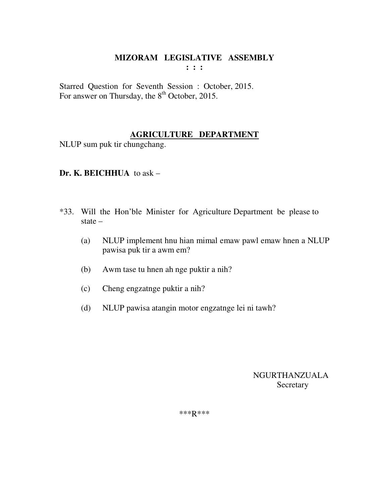Starred Question for Seventh Session : October, 2015. For answer on Thursday, the  $8<sup>th</sup>$  October, 2015.

## **AGRICULTURE DEPARTMENT**

NLUP sum puk tir chungchang.

## **Dr. K. BEICHHUA** to ask –

- \*33. Will the Hon'ble Minister for Agriculture Department be please to state –
	- (a) NLUP implement hnu hian mimal emaw pawl emaw hnen a NLUP pawisa puk tir a awm em?
	- (b) Awm tase tu hnen ah nge puktir a nih?
	- (c) Cheng engzatnge puktir a nih?
	- (d) NLUP pawisa atangin motor engzatnge lei ni tawh?

 NGURTHANZUALA **Secretary**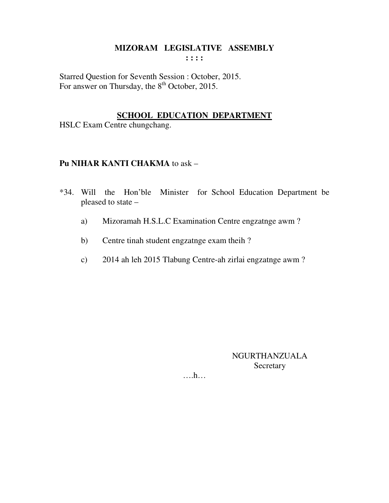Starred Question for Seventh Session : October, 2015. For answer on Thursday, the 8<sup>th</sup> October, 2015.

# **SCHOOL EDUCATION DEPARTMENT**

HSLC Exam Centre chungchang.

## **Pu NIHAR KANTI CHAKMA to ask -**

- \*34. Will the Hon'ble Minister for School Education Department be pleased to state -
	- Mizoramah H.S.L.C Examination Centre engzatnge awm? a)
	- Centre tinah student engzatnge exam theih?  $b)$
	- 2014 ah leh 2015 Tlabung Centre-ah zirlai engzatnge awm?  $\mathbf{c})$

NGURTHANZUALA Secretary

 $\dots h\dots$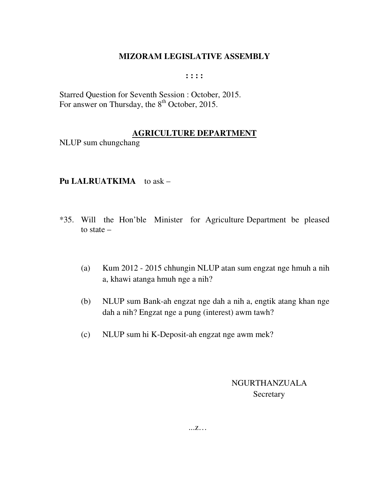**: : : :** 

Starred Question for Seventh Session : October, 2015. For answer on Thursday, the 8<sup>th</sup> October, 2015.

#### **AGRICULTURE DEPARTMENT**

NLUP sum chungchang

#### **Pu LALRUATKIMA** to ask –

- \*35. Will the Hon'ble Minister for Agriculture Department be pleased to state –
	- (a) Kum 2012 2015 chhungin NLUP atan sum engzat nge hmuh a nih a, khawi atanga hmuh nge a nih?
	- (b) NLUP sum Bank-ah engzat nge dah a nih a, engtik atang khan nge dah a nih? Engzat nge a pung (interest) awm tawh?
	- (c) NLUP sum hi K-Deposit-ah engzat nge awm mek?

 NGURTHANZUALA Secretary

...z…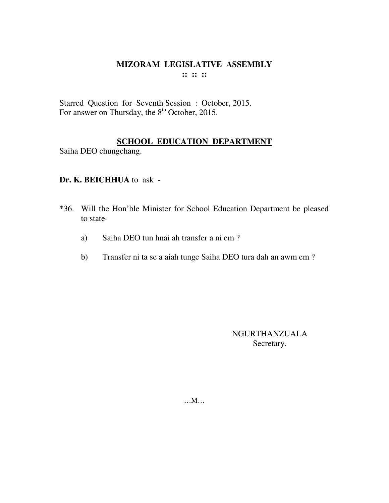Starred Question for Seventh Session : October, 2015. For answer on Thursday, the  $8<sup>th</sup>$  October, 2015.

## **SCHOOL EDUCATION DEPARTMENT**

Saiha DEO chungchang.

#### **Dr. K. BEICHHUA** to ask -

- \*36. Will the Hon'ble Minister for School Education Department be pleased to state
	- a) Saiha DEO tun hnai ah transfer a ni em ?
	- b) Transfer ni ta se a aiah tunge Saiha DEO tura dah an awm em ?

NGURTHANZUALA Secretary.

…M…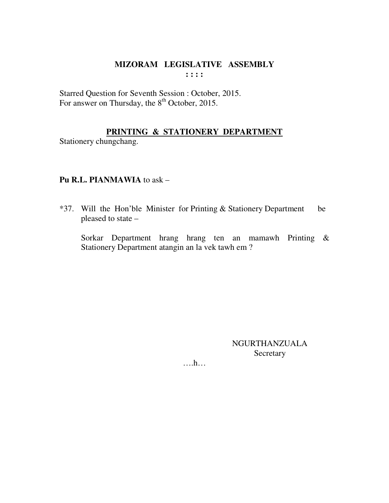Starred Question for Seventh Session : October, 2015. For answer on Thursday, the 8<sup>th</sup> October, 2015.

## PRINTING & STATIONERY DEPARTMENT

Stationery chungchang.

## Pu R.L. PIANMAWIA to ask -

be \*37. Will the Hon'ble Minister for Printing & Stationery Department pleased to state -

Sorkar Department hrang hrang ten an mamawh Printing & Stationery Department atangin an la vek tawh em?

> **NGURTHANZUALA** Secretary

 $\dots$ ...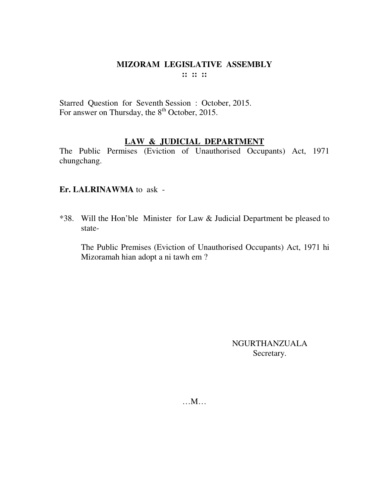#### **MIZORAM LEGISLATIVE ASSEMBLY**  $\mathbf{11} \mathbf{12} \mathbf{13}$

Starred Question for Seventh Session : October, 2015.<br>For answer on Thursday, the 8<sup>th</sup> October, 2015.

# **LAW & JUDICIAL DEPARTMENT**

The Public Permises (Eviction of Unauthorised Occupants) Act, 1971 chungchang.

#### Er. LALRINAWMA to ask -

\*38. Will the Hon'ble Minister for Law & Judicial Department be pleased to state-

The Public Premises (Eviction of Unauthorised Occupants) Act, 1971 hi Mizoramah hian adopt a ni tawh em?

> **NGURTHANZUALA** Secretary.

 $...M...$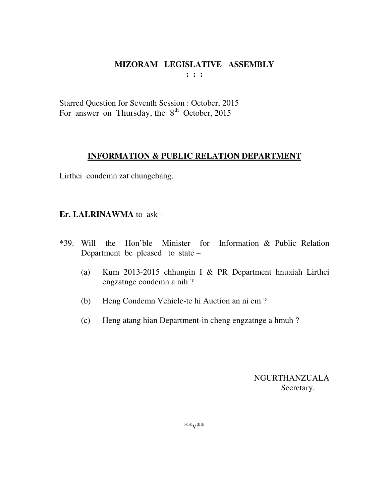**: : :** 

Starred Question for Seventh Session : October, 2015 For answer on Thursday, the  $8<sup>th</sup>$  October, 2015

# **INFORMATION & PUBLIC RELATION DEPARTMENT**

Lirthei condemn zat chungchang.

# **Er. LALRINAWMA** to ask –

- \*39. Will the Hon'ble Minister for Information & Public Relation Department be pleased to state –
	- (a) Kum 2013-2015 chhungin I & PR Department hnuaiah Lirthei engzatnge condemn a nih ?
	- (b) Heng Condemn Vehicle-te hi Auction an ni em ?
	- (c) Heng atang hian Department-in cheng engzatnge a hmuh ?

 NGURTHANZUALA Secretary.

\*\*v\*\*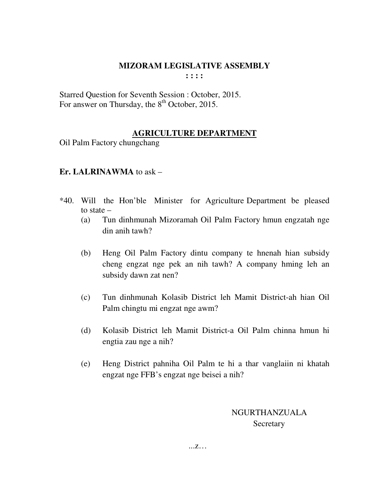Starred Question for Seventh Session : October, 2015. For answer on Thursday, the 8<sup>th</sup> October, 2015.

# **AGRICULTURE DEPARTMENT**

Oil Palm Factory chungchang

## **Er. LALRINAWMA** to ask –

- \*40. Will the Hon'ble Minister for Agriculture Department be pleased to state –
	- (a) Tun dinhmunah Mizoramah Oil Palm Factory hmun engzatah nge din anih tawh?
	- (b) Heng Oil Palm Factory dintu company te hnenah hian subsidy cheng engzat nge pek an nih tawh? A company hming leh an subsidy dawn zat nen?
	- (c) Tun dinhmunah Kolasib District leh Mamit District-ah hian Oil Palm chingtu mi engzat nge awm?
	- (d) Kolasib District leh Mamit District-a Oil Palm chinna hmun hi engtia zau nge a nih?
	- (e) Heng District pahniha Oil Palm te hi a thar vanglaiin ni khatah engzat nge FFB's engzat nge beisei a nih?

# NGURTHANZUALA **Secretary**

...z…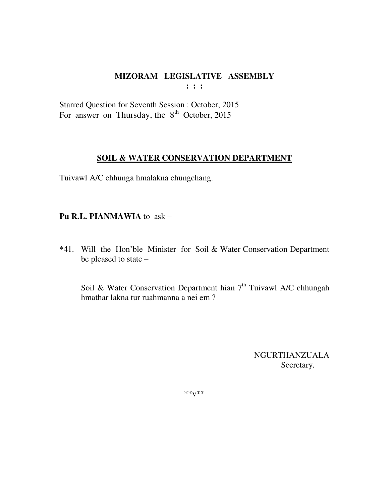Starred Question for Seventh Session : October, 2015 For answer on Thursday, the  $8<sup>th</sup>$  October, 2015

## **SOIL & WATER CONSERVATION DEPARTMENT**

Tuivawl A/C chhunga hmalakna chungchang.

## **Pu R.L. PIANMAWIA** to ask –

\*41. Will the Hon'ble Minister for Soil & Water Conservation Department be pleased to state –

Soil & Water Conservation Department hian  $7<sup>th</sup>$  Tuivawl A/C chhungah hmathar lakna tur ruahmanna a nei em ?

> NGURTHANZUALA Secretary.

\*\*v\*\*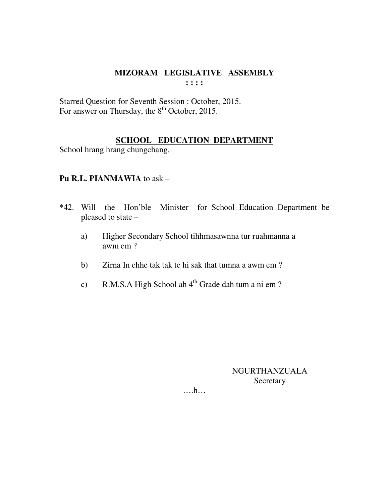## MIZORAM LEGISLATIVE ASSEMBLY  $\cdots$

Starred Question for Seventh Session : October, 2015. For answer on Thursday, the 8<sup>th</sup> October, 2015.

## **SCHOOL EDUCATION DEPARTMENT**

School hrang hrang chungchang.

#### Pu R.L. PIANMAWIA to ask -

- \*42. Will the Hon'ble Minister for School Education Department be pleased to state -
	- Higher Secondary School tihhmasawnna tur ruahmanna a a) awm em ?
	- Zirna In chhe tak tak te hi sak that tumna a awm em?  $b)$
	- R.M.S.A High School ah 4<sup>th</sup> Grade dah tum a ni em?  $c)$

NGURTHANZUALA Secretary

 $\dots h\dots$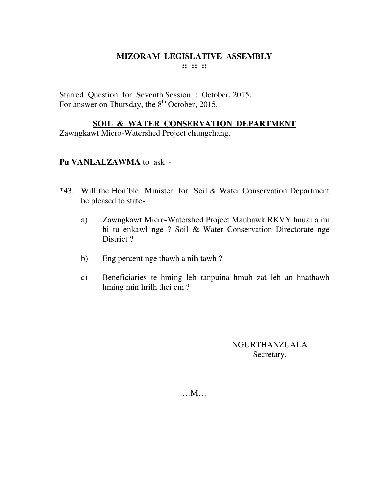Starred Question for Seventh Session : October, 2015. For answer on Thursday, the 8<sup>th</sup> October, 2015.

#### **SOIL & WATER CONSERVATION DEPARTMENT**

Zawngkawt Micro-Watershed Project chungchang.

#### **Pu VANLALZAWMA** to ask -

- \*43. Will the Hon'ble Minister for Soil & Water Conservation Department be pleased to state
	- a) Zawngkawt Micro-Watershed Project Maubawk RKVY hnuai a mi hi tu enkawl nge ? Soil & Water Conservation Directorate nge District?
	- b) Eng percent nge thawh a nih tawh ?
	- c) Beneficiaries te hming leh tanpuina hmuh zat leh an hnathawh hming min hrilh thei em ?

NGURTHANZUALA Secretary.

…M…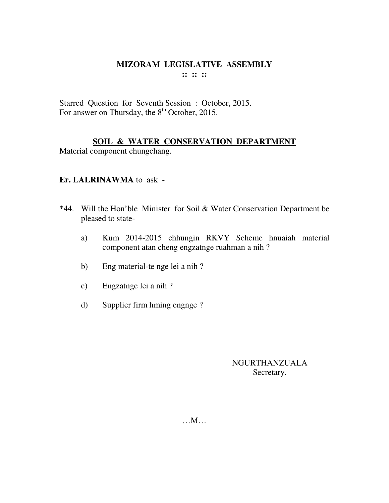#### **MIZORAM LEGISLATIVE ASSEMBLY**  $\mathbf{11} \mathbf{12} \mathbf{13}$

Starred Question for Seventh Session: October, 2015. For answer on Thursday, the 8<sup>th</sup> October, 2015.

# SOIL & WATER CONSERVATION DEPARTMENT

Material component chungchang.

## Er. LALRINAWMA to ask -

- \*44. Will the Hon'ble Minister for Soil & Water Conservation Department be pleased to state-
	- Kum 2014-2015 chhungin RKVY Scheme hnuaiah material a) component atan cheng engzatnge ruahman a nih?
	- Eng material-te nge lei a nih?  $b)$
	- Engzatnge lei a nih?  $\mathbf{c})$
	- Supplier firm hming engnge?  $\mathbf{d}$

## NGURTHANZUALA Secretary.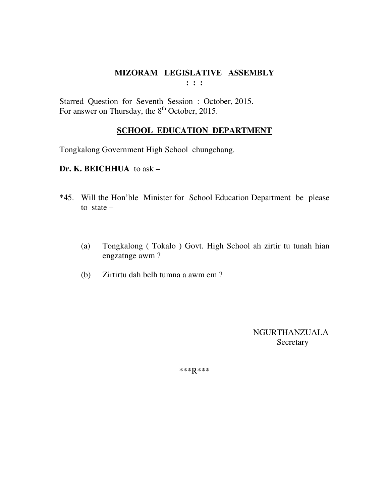Starred Question for Seventh Session : October, 2015. For answer on Thursday, the  $8<sup>th</sup>$  October, 2015.

# **SCHOOL EDUCATION DEPARTMENT**

Tongkalong Government High School chungchang.

## **Dr. K. BEICHHUA** to ask –

- \*45. Will the Hon'ble Minister for School Education Department be please to state  $-$ 
	- (a) Tongkalong ( Tokalo ) Govt. High School ah zirtir tu tunah hian engzatnge awm ?
	- (b) Zirtirtu dah belh tumna a awm em ?

 NGURTHANZUALA **Secretary**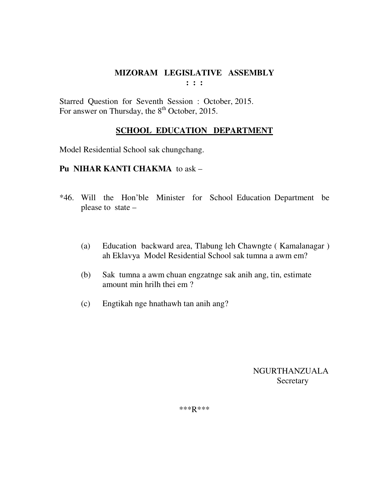Starred Question for Seventh Session : October, 2015. For answer on Thursday, the 8<sup>th</sup> October, 2015.

# **SCHOOL EDUCATION DEPARTMENT**

Model Residential School sak chungchang.

## **Pu NIHAR KANTI CHAKMA** to ask –

- \*46. Will the Hon'ble Minister for School Education Department be please to state –
	- (a) Education backward area, Tlabung leh Chawngte ( Kamalanagar ) ah Eklavya Model Residential School sak tumna a awm em?
	- (b) Sak tumna a awm chuan engzatnge sak anih ang, tin, estimate amount min hrilh thei em ?
	- (c) Engtikah nge hnathawh tan anih ang?

 NGURTHANZUALA **Secretary**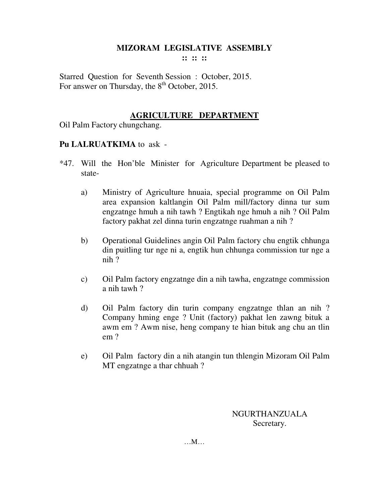**:: :: ::** 

Starred Question for Seventh Session : October, 2015. For answer on Thursday, the 8<sup>th</sup> October, 2015.

## **AGRICULTURE DEPARTMENT**

Oil Palm Factory chungchang.

## **Pu LALRUATKIMA** to ask -

- \*47. Will the Hon'ble Minister for Agriculture Department be pleased to state
	- a) Ministry of Agriculture hnuaia, special programme on Oil Palm area expansion kaltlangin Oil Palm mill/factory dinna tur sum engzatnge hmuh a nih tawh ? Engtikah nge hmuh a nih ? Oil Palm factory pakhat zel dinna turin engzatnge ruahman a nih ?
	- b) Operational Guidelines angin Oil Palm factory chu engtik chhunga din puitling tur nge ni a, engtik hun chhunga commission tur nge a nih ?
	- c) Oil Palm factory engzatnge din a nih tawha, engzatnge commission a nih tawh ?
	- d) Oil Palm factory din turin company engzatnge thlan an nih ? Company hming enge ? Unit (factory) pakhat len zawng bituk a awm em ? Awm nise, heng company te hian bituk ang chu an tlin em ?
	- e) Oil Palm factory din a nih atangin tun thlengin Mizoram Oil Palm MT engzatnge a thar chhuah ?

NGURTHANZUALA Secretary.

…M…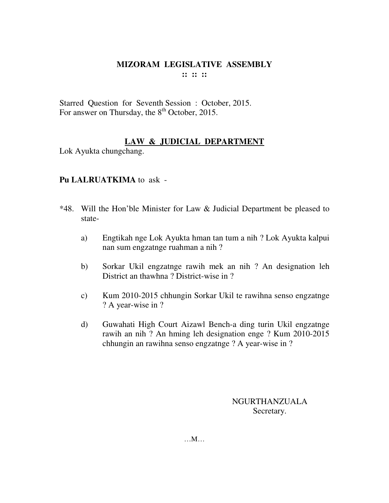Starred Question for Seventh Session : October, 2015. For answer on Thursday, the  $8<sup>th</sup>$  October, 2015.

# **LAW & JUDICIAL DEPARTMENT**

Lok Ayukta chungchang.

## **Pu LALRUATKIMA** to ask -

- \*48. Will the Hon'ble Minister for Law & Judicial Department be pleased to state
	- a) Engtikah nge Lok Ayukta hman tan tum a nih ? Lok Ayukta kalpui nan sum engzatnge ruahman a nih ?
	- b) Sorkar Ukil engzatnge rawih mek an nih ? An designation leh District an thawhna ? District-wise in ?
	- c) Kum 2010-2015 chhungin Sorkar Ukil te rawihna senso engzatnge ? A year-wise in ?
	- d) Guwahati High Court Aizawl Bench-a ding turin Ukil engzatnge rawih an nih ? An hming leh designation enge ? Kum 2010-2015 chhungin an rawihna senso engzatnge ? A year-wise in ?

NGURTHANZUALA Secretary.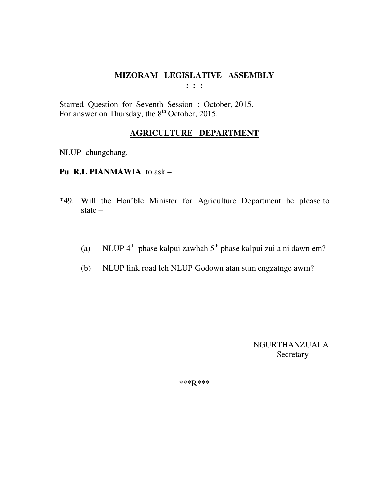Starred Question for Seventh Session : October, 2015. For answer on Thursday, the  $8<sup>th</sup>$  October, 2015.

## **AGRICULTURE DEPARTMENT**

NLUP chungchang.

- **Pu R.L PIANMAWIA** to ask –
- \*49. Will the Hon'ble Minister for Agriculture Department be please to state –
	- (a) NLUP  $4<sup>th</sup>$  phase kalpui zawhah  $5<sup>th</sup>$  phase kalpui zui a ni dawn em?
	- (b) NLUP link road leh NLUP Godown atan sum engzatnge awm?

 NGURTHANZUALA Secretary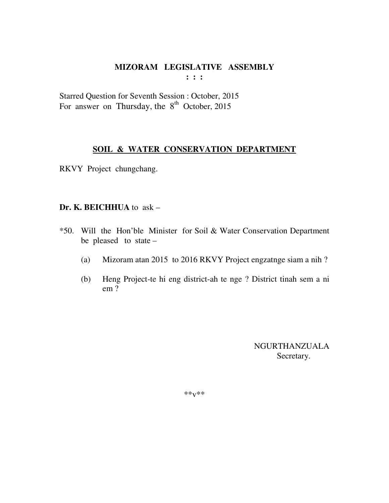Starred Question for Seventh Session : October, 2015 For answer on Thursday, the  $8<sup>th</sup>$  October, 2015

#### **SOIL & WATER CONSERVATION DEPARTMENT**

RKVY Project chungchang.

#### **Dr. K. BEICHHUA** to ask –

- \*50. Will the Hon'ble Minister for Soil & Water Conservation Department be pleased to state –
	- (a) Mizoram atan 2015 to 2016 RKVY Project engzatnge siam a nih ?
	- (b) Heng Project-te hi eng district-ah te nge ? District tinah sem a ni em ?

 NGURTHANZUALA Secretary.

\*\*v\*\*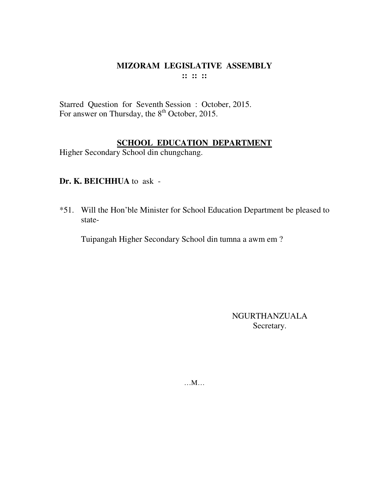#### MIZORAM LEGISLATIVE ASSEMBLY  $\mathbf{11} \mathbf{12} \mathbf{13}$

Starred Question for Seventh Session : October, 2015.<br>For answer on Thursday, the 8<sup>th</sup> October, 2015.

## **SCHOOL EDUCATION DEPARTMENT**

Higher Secondary School din chungchang.

# Dr. K. BEICHHUA to ask -

\*51. Will the Hon'ble Minister for School Education Department be pleased to state-

Tuipangah Higher Secondary School din tumna a awm em?

**NGURTHANZUALA** Secretary.

 $...M...$